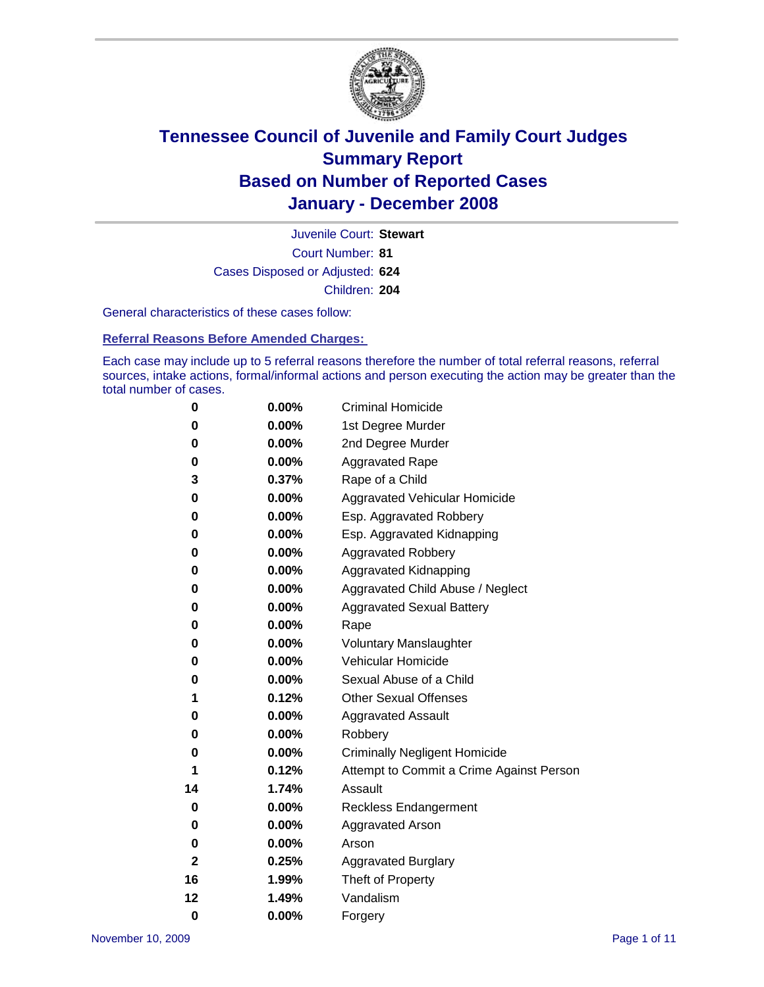

Court Number: **81** Juvenile Court: **Stewart** Cases Disposed or Adjusted: **624** Children: **204**

General characteristics of these cases follow:

**Referral Reasons Before Amended Charges:** 

Each case may include up to 5 referral reasons therefore the number of total referral reasons, referral sources, intake actions, formal/informal actions and person executing the action may be greater than the total number of cases.

| 0  | 0.00%    | <b>Criminal Homicide</b>                 |
|----|----------|------------------------------------------|
| 0  | 0.00%    | 1st Degree Murder                        |
| 0  | 0.00%    | 2nd Degree Murder                        |
| 0  | 0.00%    | <b>Aggravated Rape</b>                   |
| 3  | 0.37%    | Rape of a Child                          |
| 0  | 0.00%    | Aggravated Vehicular Homicide            |
| 0  | 0.00%    | Esp. Aggravated Robbery                  |
| 0  | 0.00%    | Esp. Aggravated Kidnapping               |
| 0  | 0.00%    | <b>Aggravated Robbery</b>                |
| 0  | 0.00%    | Aggravated Kidnapping                    |
| 0  | 0.00%    | Aggravated Child Abuse / Neglect         |
| 0  | 0.00%    | <b>Aggravated Sexual Battery</b>         |
| 0  | 0.00%    | Rape                                     |
| 0  | 0.00%    | <b>Voluntary Manslaughter</b>            |
| 0  | 0.00%    | Vehicular Homicide                       |
| 0  | $0.00\%$ | Sexual Abuse of a Child                  |
| 1  | 0.12%    | <b>Other Sexual Offenses</b>             |
| 0  | 0.00%    | <b>Aggravated Assault</b>                |
| 0  | 0.00%    | Robbery                                  |
| 0  | $0.00\%$ | <b>Criminally Negligent Homicide</b>     |
| 1  | 0.12%    | Attempt to Commit a Crime Against Person |
| 14 | 1.74%    | Assault                                  |
| 0  | 0.00%    | <b>Reckless Endangerment</b>             |
| 0  | $0.00\%$ | <b>Aggravated Arson</b>                  |
| 0  | 0.00%    | Arson                                    |
| 2  | 0.25%    | <b>Aggravated Burglary</b>               |
| 16 | 1.99%    | Theft of Property                        |
| 12 | 1.49%    | Vandalism                                |
| 0  | 0.00%    | Forgery                                  |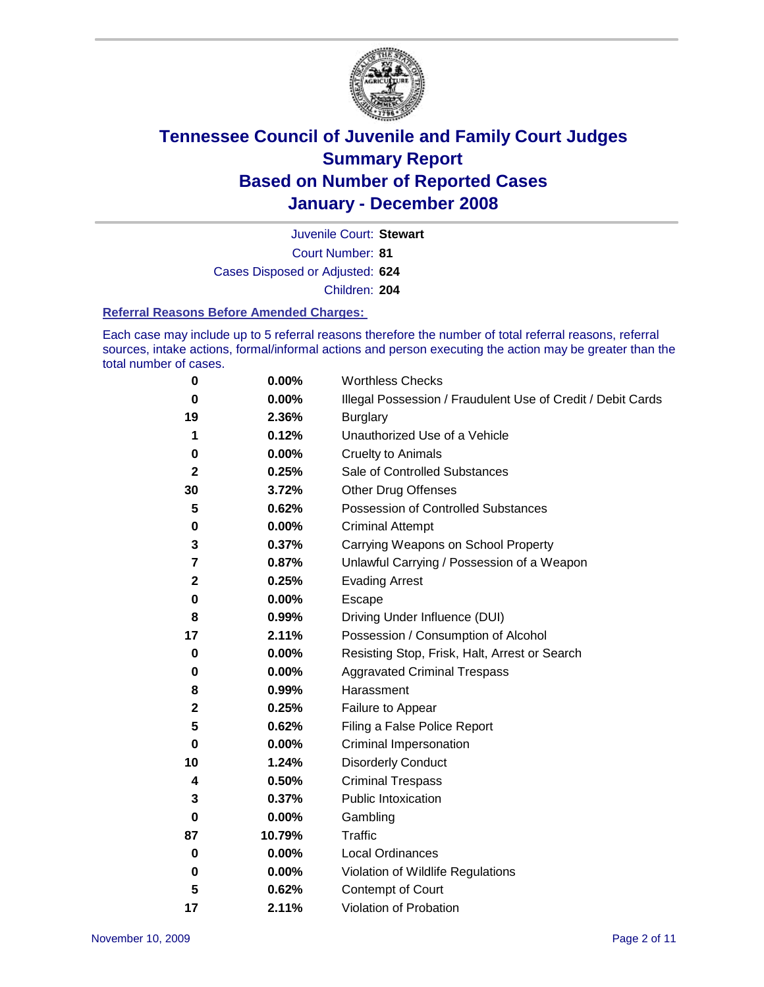

Court Number: **81** Juvenile Court: **Stewart** Cases Disposed or Adjusted: **624** Children: **204**

#### **Referral Reasons Before Amended Charges:**

Each case may include up to 5 referral reasons therefore the number of total referral reasons, referral sources, intake actions, formal/informal actions and person executing the action may be greater than the total number of cases.

| 0            | 0.00%    | <b>Worthless Checks</b>                                     |
|--------------|----------|-------------------------------------------------------------|
| 0            | 0.00%    | Illegal Possession / Fraudulent Use of Credit / Debit Cards |
| 19           | 2.36%    | <b>Burglary</b>                                             |
| 1            | 0.12%    | Unauthorized Use of a Vehicle                               |
| 0            | $0.00\%$ | <b>Cruelty to Animals</b>                                   |
| $\mathbf{2}$ | 0.25%    | Sale of Controlled Substances                               |
| 30           | 3.72%    | <b>Other Drug Offenses</b>                                  |
| 5            | 0.62%    | Possession of Controlled Substances                         |
| 0            | $0.00\%$ | <b>Criminal Attempt</b>                                     |
| 3            | 0.37%    | Carrying Weapons on School Property                         |
| 7            | 0.87%    | Unlawful Carrying / Possession of a Weapon                  |
| $\mathbf{2}$ | 0.25%    | <b>Evading Arrest</b>                                       |
| 0            | 0.00%    | <b>Escape</b>                                               |
| 8            | 0.99%    | Driving Under Influence (DUI)                               |
| 17           | 2.11%    | Possession / Consumption of Alcohol                         |
| 0            | 0.00%    | Resisting Stop, Frisk, Halt, Arrest or Search               |
| 0            | 0.00%    | <b>Aggravated Criminal Trespass</b>                         |
| 8            | 0.99%    | Harassment                                                  |
| $\mathbf 2$  | 0.25%    | Failure to Appear                                           |
| 5            | 0.62%    | Filing a False Police Report                                |
| 0            | $0.00\%$ | Criminal Impersonation                                      |
| 10           | 1.24%    | <b>Disorderly Conduct</b>                                   |
| 4            | 0.50%    | <b>Criminal Trespass</b>                                    |
| 3            | 0.37%    | <b>Public Intoxication</b>                                  |
| 0            | $0.00\%$ | Gambling                                                    |
| 87           | 10.79%   | Traffic                                                     |
| 0            | $0.00\%$ | Local Ordinances                                            |
| 0            | 0.00%    | Violation of Wildlife Regulations                           |
| 5            | 0.62%    | Contempt of Court                                           |
| 17           | 2.11%    | Violation of Probation                                      |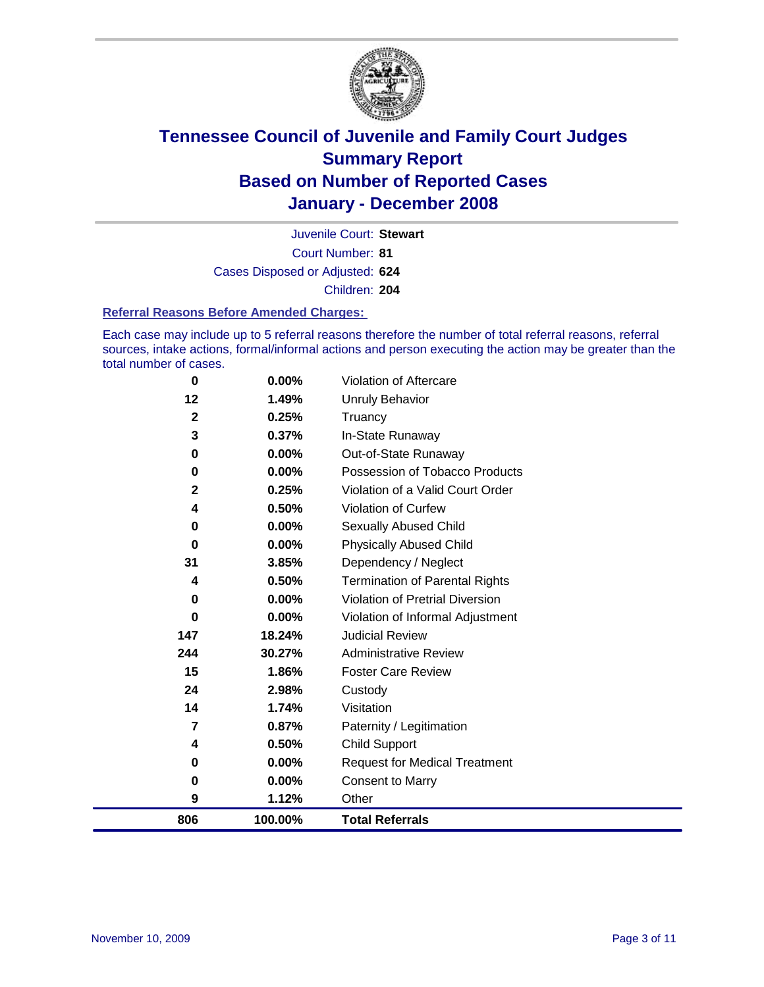

Court Number: **81** Juvenile Court: **Stewart** Cases Disposed or Adjusted: **624** Children: **204**

#### **Referral Reasons Before Amended Charges:**

Each case may include up to 5 referral reasons therefore the number of total referral reasons, referral sources, intake actions, formal/informal actions and person executing the action may be greater than the total number of cases.

| $\bf{0}$     | 0.00%    | Violation of Aftercare                 |
|--------------|----------|----------------------------------------|
| 12           | 1.49%    | <b>Unruly Behavior</b>                 |
| $\mathbf{2}$ | 0.25%    | Truancy                                |
| 3            | 0.37%    | In-State Runaway                       |
| $\bf{0}$     | 0.00%    | Out-of-State Runaway                   |
| $\bf{0}$     | $0.00\%$ | Possession of Tobacco Products         |
| $\mathbf{2}$ | 0.25%    | Violation of a Valid Court Order       |
| 4            | 0.50%    | Violation of Curfew                    |
| $\mathbf 0$  | $0.00\%$ | Sexually Abused Child                  |
| $\bf{0}$     | $0.00\%$ | <b>Physically Abused Child</b>         |
| 31           | 3.85%    | Dependency / Neglect                   |
| 4            | 0.50%    | <b>Termination of Parental Rights</b>  |
| $\bf{0}$     | $0.00\%$ | <b>Violation of Pretrial Diversion</b> |
| 0            | $0.00\%$ | Violation of Informal Adjustment       |
| 147          | 18.24%   | <b>Judicial Review</b>                 |
| 244          | 30.27%   | <b>Administrative Review</b>           |
| 15           | 1.86%    | <b>Foster Care Review</b>              |
| 24           | 2.98%    | Custody                                |
| 14           | 1.74%    | Visitation                             |
| 7            | 0.87%    | Paternity / Legitimation               |
| 4            | 0.50%    | <b>Child Support</b>                   |
| 0            | $0.00\%$ | <b>Request for Medical Treatment</b>   |
| $\bf{0}$     | 0.00%    | <b>Consent to Marry</b>                |
| 9            | 1.12%    | Other                                  |
| 806          | 100.00%  | <b>Total Referrals</b>                 |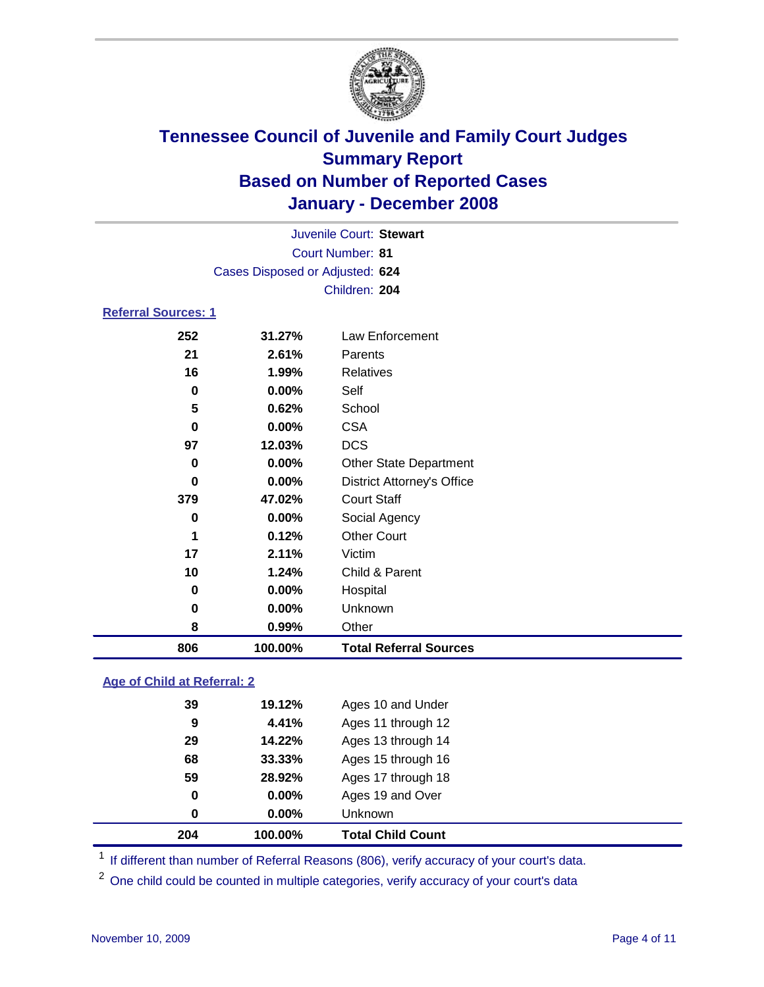

|                            |                                 | Juvenile Court: Stewart           |  |
|----------------------------|---------------------------------|-----------------------------------|--|
|                            |                                 | <b>Court Number: 81</b>           |  |
|                            | Cases Disposed or Adjusted: 624 |                                   |  |
|                            |                                 | Children: 204                     |  |
| <b>Referral Sources: 1</b> |                                 |                                   |  |
| 252                        | 31.27%                          | Law Enforcement                   |  |
| 21                         | 2.61%                           | Parents                           |  |
| 16                         | 1.99%                           | <b>Relatives</b>                  |  |
| 0                          | $0.00\%$                        | Self                              |  |
| 5                          | 0.62%                           | School                            |  |
| 0                          | $0.00\%$                        | <b>CSA</b>                        |  |
| 97                         | 12.03%                          | <b>DCS</b>                        |  |
| 0                          | 0.00%                           | <b>Other State Department</b>     |  |
| 0                          | $0.00\%$                        | <b>District Attorney's Office</b> |  |

| 806 | 100.00% | <b>Total Referral Sources</b> |  |
|-----|---------|-------------------------------|--|
| 8   | 0.99%   | Other                         |  |
| 0   | 0.00%   | Unknown                       |  |
| 0   | 0.00%   | Hospital                      |  |
| 10  | 1.24%   | Child & Parent                |  |
| 17  | 2.11%   | Victim                        |  |
| 1   | 0.12%   | <b>Other Court</b>            |  |
| 0   | 0.00%   | Social Agency                 |  |
| 379 | 47.02%  | <b>Court Staff</b>            |  |
|     |         |                               |  |

#### **Age of Child at Referral: 2**

| 0  |        |                    |                         |
|----|--------|--------------------|-------------------------|
|    |        |                    |                         |
| 0  | 0.00%  | Ages 19 and Over   |                         |
| 59 | 28.92% | Ages 17 through 18 |                         |
| 68 | 33.33% | Ages 15 through 16 |                         |
| 29 | 14.22% | Ages 13 through 14 |                         |
| 9  | 4.41%  | Ages 11 through 12 |                         |
| 39 | 19.12% | Ages 10 and Under  |                         |
|    |        |                    | 0.00%<br><b>Unknown</b> |

<sup>1</sup> If different than number of Referral Reasons (806), verify accuracy of your court's data.

<sup>2</sup> One child could be counted in multiple categories, verify accuracy of your court's data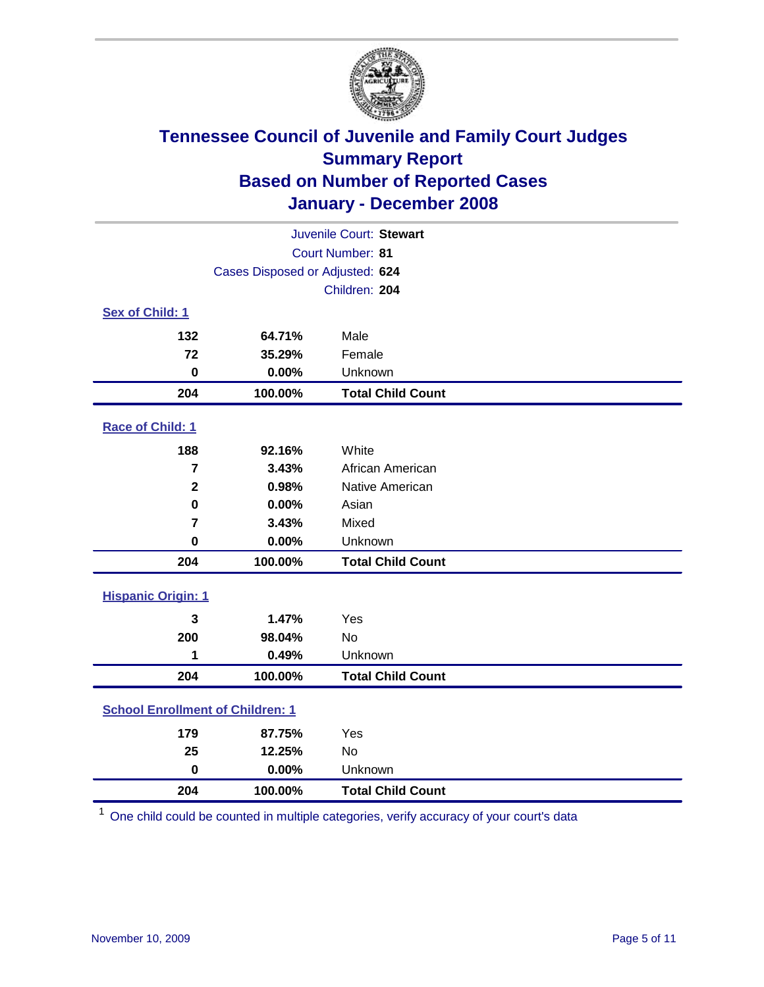

| Juvenile Court: Stewart                 |                                 |                          |  |  |  |
|-----------------------------------------|---------------------------------|--------------------------|--|--|--|
|                                         | Court Number: 81                |                          |  |  |  |
|                                         | Cases Disposed or Adjusted: 624 |                          |  |  |  |
|                                         |                                 | Children: 204            |  |  |  |
| Sex of Child: 1                         |                                 |                          |  |  |  |
| 132                                     | 64.71%                          | Male                     |  |  |  |
| 72                                      | 35.29%                          | Female                   |  |  |  |
| $\bf{0}$                                | 0.00%                           | Unknown                  |  |  |  |
| 204                                     | 100.00%                         | <b>Total Child Count</b> |  |  |  |
| Race of Child: 1                        |                                 |                          |  |  |  |
| 188                                     | 92.16%                          | White                    |  |  |  |
| 7                                       | 3.43%                           | African American         |  |  |  |
| $\mathbf 2$                             | 0.98%                           | Native American          |  |  |  |
| $\bf{0}$                                | 0.00%                           | Asian                    |  |  |  |
| $\overline{7}$                          | 3.43%                           | Mixed                    |  |  |  |
| $\mathbf 0$                             | 0.00%                           | Unknown                  |  |  |  |
| 204                                     | 100.00%                         | <b>Total Child Count</b> |  |  |  |
| <b>Hispanic Origin: 1</b>               |                                 |                          |  |  |  |
| 3                                       | 1.47%                           | Yes                      |  |  |  |
| 200                                     | 98.04%                          | <b>No</b>                |  |  |  |
| 1                                       | 0.49%                           | Unknown                  |  |  |  |
| 204                                     | 100.00%                         | <b>Total Child Count</b> |  |  |  |
| <b>School Enrollment of Children: 1</b> |                                 |                          |  |  |  |
| 179                                     | 87.75%                          | Yes                      |  |  |  |
| 25                                      | 12.25%                          | No                       |  |  |  |
| $\mathbf 0$                             | 0.00%                           | Unknown                  |  |  |  |
| 204                                     | 100.00%                         | <b>Total Child Count</b> |  |  |  |

One child could be counted in multiple categories, verify accuracy of your court's data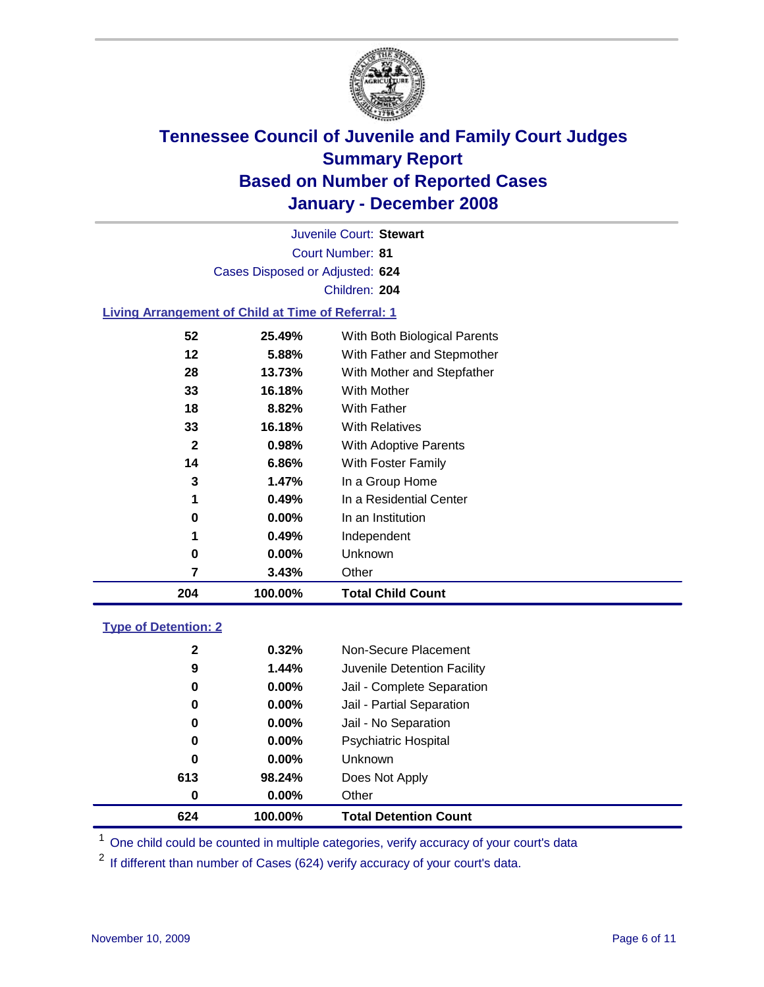

Court Number: **81** Juvenile Court: **Stewart** Cases Disposed or Adjusted: **624** Children: **204**

#### **Living Arrangement of Child at Time of Referral: 1**

| 204 | 100.00%  | <b>Total Child Count</b>     |
|-----|----------|------------------------------|
| 7   | 3.43%    | Other                        |
| 0   | 0.00%    | Unknown                      |
|     | 0.49%    | Independent                  |
| 0   | $0.00\%$ | In an Institution            |
| 1   | 0.49%    | In a Residential Center      |
| 3   | 1.47%    | In a Group Home              |
| 14  | 6.86%    | With Foster Family           |
| 2   | 0.98%    | With Adoptive Parents        |
| 33  | 16.18%   | <b>With Relatives</b>        |
| 18  | 8.82%    | With Father                  |
| 33  | 16.18%   | With Mother                  |
| 28  | 13.73%   | With Mother and Stepfather   |
| 12  | 5.88%    | With Father and Stepmother   |
| 52  | 25.49%   | With Both Biological Parents |
|     |          |                              |

#### **Type of Detention: 2**

| 624          | 100.00%  | <b>Total Detention Count</b> |  |
|--------------|----------|------------------------------|--|
| 0            | $0.00\%$ | Other                        |  |
| 613          | 98.24%   | Does Not Apply               |  |
| 0            | $0.00\%$ | <b>Unknown</b>               |  |
| 0            | $0.00\%$ | <b>Psychiatric Hospital</b>  |  |
| 0            | 0.00%    | Jail - No Separation         |  |
| 0            | $0.00\%$ | Jail - Partial Separation    |  |
| 0            | $0.00\%$ | Jail - Complete Separation   |  |
| 9            | 1.44%    | Juvenile Detention Facility  |  |
| $\mathbf{2}$ | 0.32%    | Non-Secure Placement         |  |
|              |          |                              |  |

<sup>1</sup> One child could be counted in multiple categories, verify accuracy of your court's data

<sup>2</sup> If different than number of Cases (624) verify accuracy of your court's data.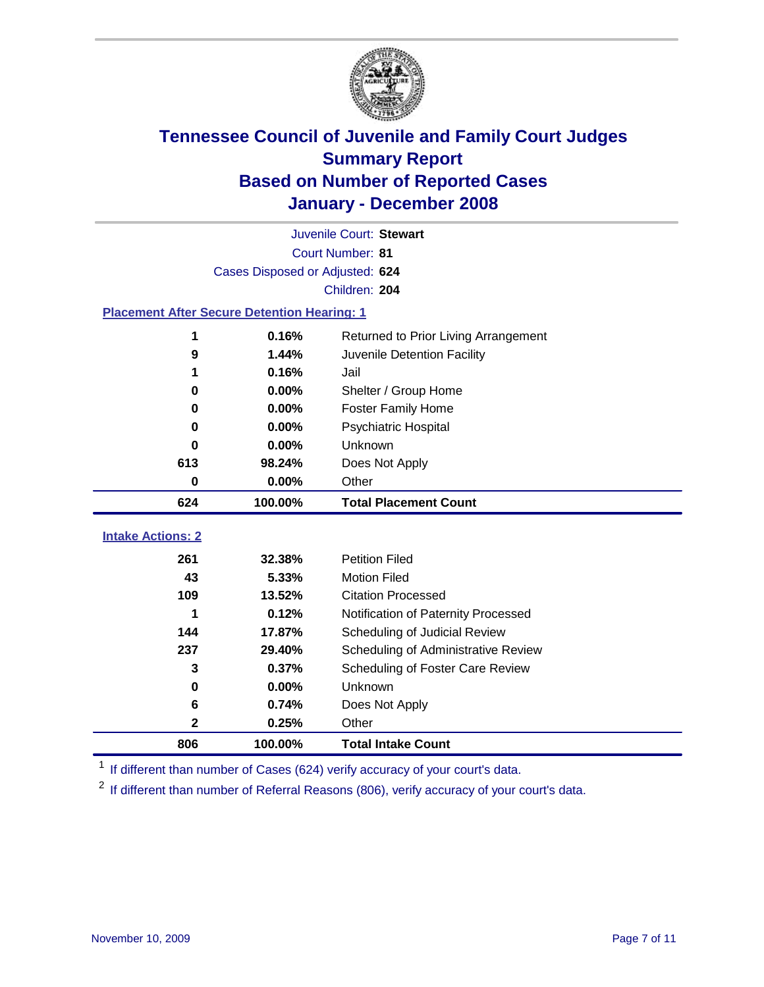

|                                                    | Juvenile Court: Stewart         |                                      |  |  |  |
|----------------------------------------------------|---------------------------------|--------------------------------------|--|--|--|
|                                                    | Court Number: 81                |                                      |  |  |  |
|                                                    | Cases Disposed or Adjusted: 624 |                                      |  |  |  |
|                                                    |                                 | Children: 204                        |  |  |  |
| <b>Placement After Secure Detention Hearing: 1</b> |                                 |                                      |  |  |  |
| 1                                                  | 0.16%                           | Returned to Prior Living Arrangement |  |  |  |
| 9                                                  | 1.44%                           | Juvenile Detention Facility          |  |  |  |
|                                                    | 0.16%                           | Jail                                 |  |  |  |
| 0                                                  | 0.00%                           | Shelter / Group Home                 |  |  |  |
| $\bf{0}$                                           | 0.00%                           | <b>Foster Family Home</b>            |  |  |  |
| $\bf{0}$                                           | 0.00%                           | Psychiatric Hospital                 |  |  |  |
| 0                                                  | 0.00%                           | Unknown                              |  |  |  |
| 613                                                | 98.24%                          | Does Not Apply                       |  |  |  |
| $\bf{0}$                                           | 0.00%                           | Other                                |  |  |  |
| 624                                                | 100.00%                         | <b>Total Placement Count</b>         |  |  |  |
| <b>Intake Actions: 2</b>                           |                                 |                                      |  |  |  |
| 261                                                | 32.38%                          | <b>Petition Filed</b>                |  |  |  |
| 43                                                 | 5.33%                           | <b>Motion Filed</b>                  |  |  |  |
| 109                                                | 13.52%                          | <b>Citation Processed</b>            |  |  |  |
| 1                                                  | 0.12%                           | Notification of Paternity Processed  |  |  |  |
| 144                                                | 17.87%                          | Scheduling of Judicial Review        |  |  |  |
| 237                                                | 29.40%                          | Scheduling of Administrative Review  |  |  |  |
| 3                                                  | 0.37%                           | Scheduling of Foster Care Review     |  |  |  |
| 0                                                  | 0.00%                           | Unknown                              |  |  |  |
| 6                                                  |                                 |                                      |  |  |  |
|                                                    | 0.74%                           | Does Not Apply                       |  |  |  |
| $\mathbf 2$                                        | 0.25%                           | Other                                |  |  |  |

<sup>1</sup> If different than number of Cases (624) verify accuracy of your court's data.

<sup>2</sup> If different than number of Referral Reasons (806), verify accuracy of your court's data.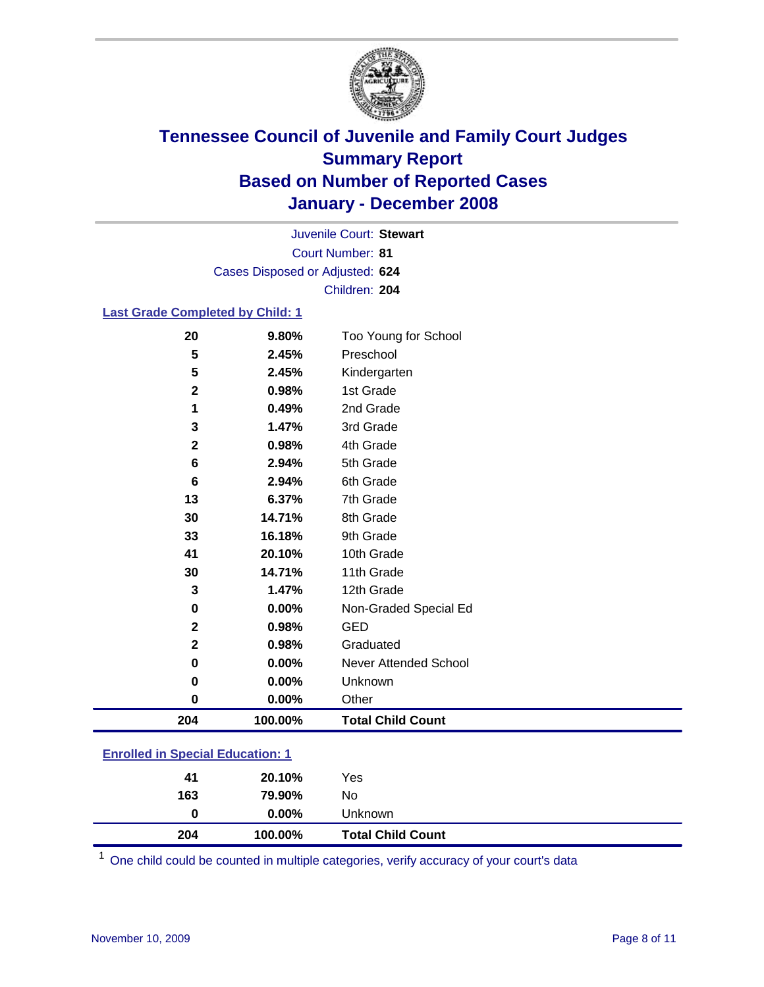

Court Number: **81** Juvenile Court: **Stewart** Cases Disposed or Adjusted: **624** Children: **204**

#### **Last Grade Completed by Child: 1**

| 204          | 100.00% | <b>Total Child Count</b> |
|--------------|---------|--------------------------|
| 0            | 0.00%   | Other                    |
| 0            | 0.00%   | Unknown                  |
| $\bf{0}$     | 0.00%   | Never Attended School    |
| $\mathbf{2}$ | 0.98%   | Graduated                |
| $\mathbf 2$  | 0.98%   | <b>GED</b>               |
| $\bf{0}$     | 0.00%   | Non-Graded Special Ed    |
| 3            | 1.47%   | 12th Grade               |
| 30           | 14.71%  | 11th Grade               |
| 41           | 20.10%  | 10th Grade               |
| 33           | 16.18%  | 9th Grade                |
| 30           | 14.71%  | 8th Grade                |
| 13           | 6.37%   | 7th Grade                |
| 6            | 2.94%   | 6th Grade                |
| 6            | 2.94%   | 5th Grade                |
| $\mathbf 2$  | 0.98%   | 4th Grade                |
| 3            | 1.47%   | 3rd Grade                |
| 1            | 0.49%   | 2nd Grade                |
| $\mathbf 2$  | 0.98%   | 1st Grade                |
| 5            | 2.45%   | Kindergarten             |
| 5            | 2.45%   | Preschool                |
| 20           | 9.80%   | Too Young for School     |

### **Enrolled in Special Education: 1**

| 204      | 100.00%            | <b>Total Child Count</b> |
|----------|--------------------|--------------------------|
| 163<br>0 | 79.90%<br>$0.00\%$ | No<br>Unknown            |
|          |                    |                          |
| 41       | 20.10%             | Yes                      |

<sup>1</sup> One child could be counted in multiple categories, verify accuracy of your court's data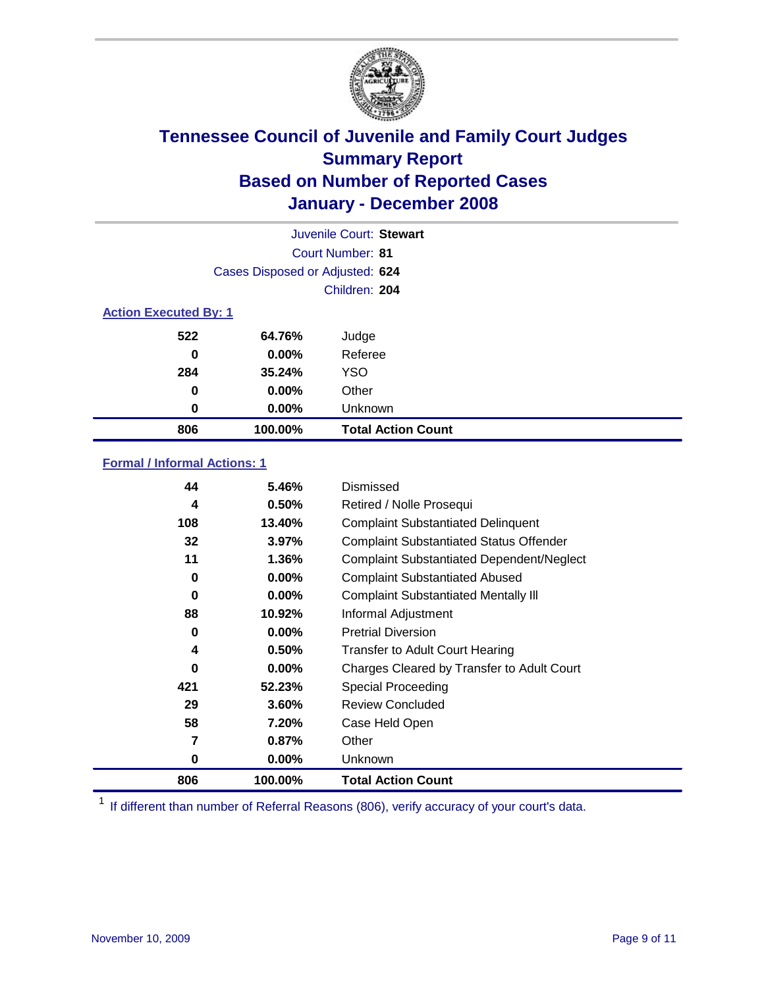

|                              |                                 | Juvenile Court: Stewart   |
|------------------------------|---------------------------------|---------------------------|
|                              |                                 | Court Number: 81          |
|                              | Cases Disposed or Adjusted: 624 |                           |
|                              |                                 | Children: 204             |
| <b>Action Executed By: 1</b> |                                 |                           |
| 522                          | 64.76%                          | Judge                     |
| 0                            | $0.00\%$                        | Referee                   |
| 284                          | 35.24%                          | <b>YSO</b>                |
| 0                            | $0.00\%$                        | Other                     |
| 0                            | $0.00\%$                        | Unknown                   |
| 806                          | 100.00%                         | <b>Total Action Count</b> |

### **Formal / Informal Actions: 1**

| 44  | 5.46%    | Dismissed                                        |
|-----|----------|--------------------------------------------------|
| 4   | 0.50%    | Retired / Nolle Prosequi                         |
| 108 | 13.40%   | <b>Complaint Substantiated Delinquent</b>        |
| 32  | 3.97%    | <b>Complaint Substantiated Status Offender</b>   |
| 11  | 1.36%    | <b>Complaint Substantiated Dependent/Neglect</b> |
| 0   | 0.00%    | <b>Complaint Substantiated Abused</b>            |
| 0   | 0.00%    | <b>Complaint Substantiated Mentally III</b>      |
| 88  | 10.92%   | Informal Adjustment                              |
| 0   | $0.00\%$ | <b>Pretrial Diversion</b>                        |
| 4   | 0.50%    | <b>Transfer to Adult Court Hearing</b>           |
| 0   | $0.00\%$ | Charges Cleared by Transfer to Adult Court       |
| 421 | 52.23%   | Special Proceeding                               |
| 29  | 3.60%    | <b>Review Concluded</b>                          |
| 58  | 7.20%    | Case Held Open                                   |
| 7   | 0.87%    | Other                                            |
| 0   | $0.00\%$ | <b>Unknown</b>                                   |
| 806 | 100.00%  | <b>Total Action Count</b>                        |

<sup>1</sup> If different than number of Referral Reasons (806), verify accuracy of your court's data.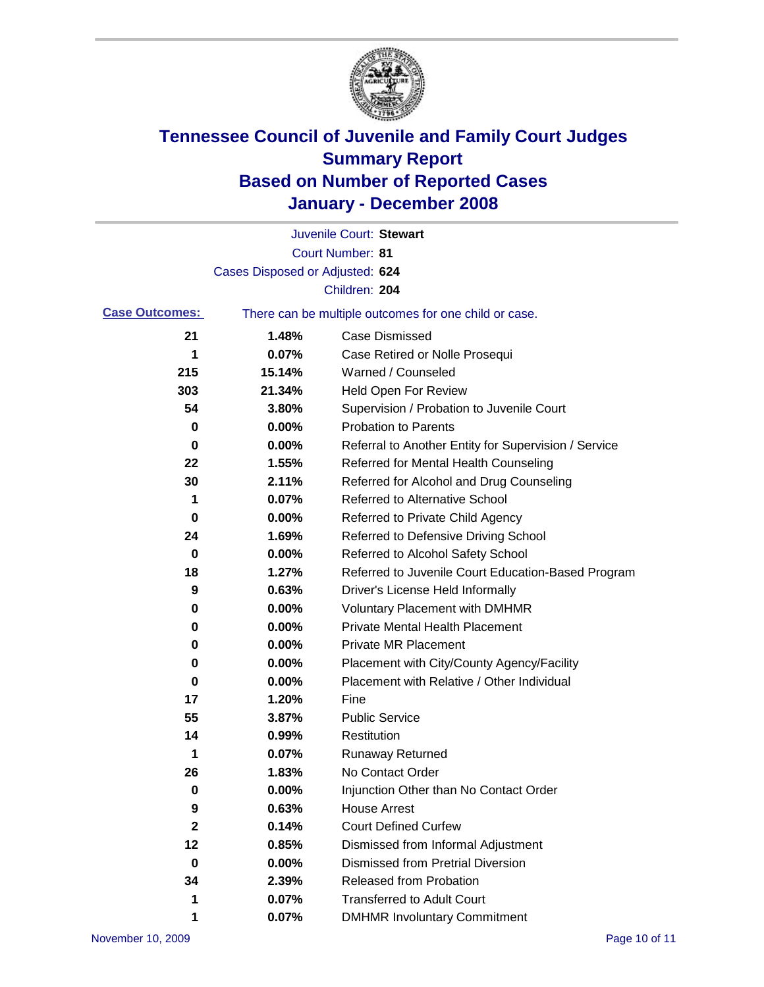

|                       |                                 | Juvenile Court: Stewart                               |
|-----------------------|---------------------------------|-------------------------------------------------------|
|                       |                                 | Court Number: 81                                      |
|                       | Cases Disposed or Adjusted: 624 |                                                       |
|                       |                                 | Children: 204                                         |
| <b>Case Outcomes:</b> |                                 | There can be multiple outcomes for one child or case. |
| 21                    | 1.48%                           | <b>Case Dismissed</b>                                 |
| 1                     | 0.07%                           | Case Retired or Nolle Prosequi                        |
| 215                   | 15.14%                          | Warned / Counseled                                    |
| 303                   | 21.34%                          | Held Open For Review                                  |
| 54                    | 3.80%                           | Supervision / Probation to Juvenile Court             |
| 0                     | 0.00%                           | <b>Probation to Parents</b>                           |
| 0                     | 0.00%                           | Referral to Another Entity for Supervision / Service  |
| 22                    | 1.55%                           | Referred for Mental Health Counseling                 |
| 30                    | 2.11%                           | Referred for Alcohol and Drug Counseling              |
| 1                     | 0.07%                           | <b>Referred to Alternative School</b>                 |
| 0                     | 0.00%                           | Referred to Private Child Agency                      |
| 24                    | 1.69%                           | Referred to Defensive Driving School                  |
| 0                     | 0.00%                           | Referred to Alcohol Safety School                     |
| 18                    | 1.27%                           | Referred to Juvenile Court Education-Based Program    |
| 9                     | 0.63%                           | Driver's License Held Informally                      |
| 0                     | 0.00%                           | <b>Voluntary Placement with DMHMR</b>                 |
| 0                     | 0.00%                           | <b>Private Mental Health Placement</b>                |
| 0                     | 0.00%                           | <b>Private MR Placement</b>                           |
| 0                     | 0.00%                           | Placement with City/County Agency/Facility            |
| 0                     | 0.00%                           | Placement with Relative / Other Individual            |
| 17                    | 1.20%                           | Fine                                                  |
| 55                    | 3.87%                           | <b>Public Service</b>                                 |
| 14                    | 0.99%                           | Restitution                                           |
| $\mathbf 1$           | 0.07%                           | <b>Runaway Returned</b>                               |
| 26                    | 1.83%                           | No Contact Order                                      |
| $\boldsymbol{0}$      | 0.00%                           | Injunction Other than No Contact Order                |
| 9                     | 0.63%                           | <b>House Arrest</b>                                   |
| 2                     | 0.14%                           | <b>Court Defined Curfew</b>                           |
| 12                    | 0.85%                           | Dismissed from Informal Adjustment                    |
| 0                     | 0.00%                           | <b>Dismissed from Pretrial Diversion</b>              |
| 34                    | 2.39%                           | Released from Probation                               |
| 1                     | 0.07%                           | <b>Transferred to Adult Court</b>                     |
| 1                     | 0.07%                           | <b>DMHMR Involuntary Commitment</b>                   |